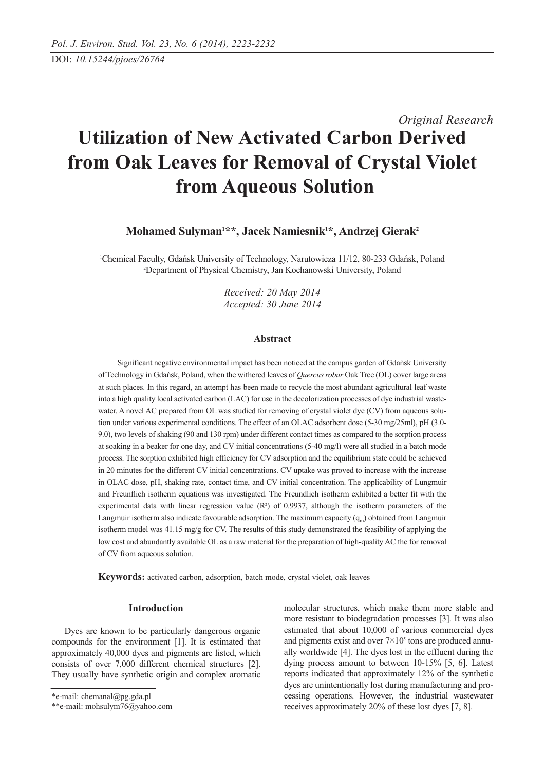# *Original Research* **Utilization of New Activated Carbon Derived from Oak Leaves for Removal of Crystal Violet from Aqueous Solution**

**Mohamed Sulyman1 \*\*, Jacek Namiesnik1 \*, Andrzej Gierak2**

1 Chemical Faculty, Gdańsk University of Technology, Narutowicza 11/12, 80-233 Gdańsk, Poland 2 Department of Physical Chemistry, Jan Kochanowski University, Poland

> *Received: 20 May 2014 Accepted: 30 June 2014*

## **Abstract**

Significant negative environmental impact has been noticed at the campus garden of Gdańsk University of Technology in Gdańsk, Poland, when the withered leaves of *Quercus robur* Oak Tree (OL) cover large areas at such places. In this regard, an attempt has been made to recycle the most abundant agricultural leaf waste into a high quality local activated carbon (LAC) for use in the decolorization processes of dye industrial wastewater. A novel AC prepared from OL was studied for removing of crystal violet dye (CV) from aqueous solution under various experimental conditions. The effect of an OLAC adsorbent dose (5-30 mg/25ml), pH (3.0- 9.0), two levels of shaking (90 and 130 rpm) under different contact times as compared to the sorption process at soaking in a beaker for one day, and CV initial concentrations (5-40 mg/l) were all studied in a batch mode process. The sorption exhibited high efficiency for CV adsorption and the equilibrium state could be achieved in 20 minutes for the different CV initial concentrations. CV uptake was proved to increase with the increase in OLAC dose, pH, shaking rate, contact time, and CV initial concentration. The applicability of Lungmuir and Freunflich isotherm equations was investigated. The Freundlich isotherm exhibited a better fit with the experimental data with linear regression value  $(R<sup>2</sup>)$  of 0.9937, although the isotherm parameters of the Langmuir isotherm also indicate favourable adsorption. The maximum capacity  $(q_m)$  obtained from Langmuir isotherm model was 41.15 mg/g for CV. The results of this study demonstrated the feasibility of applying the low cost and abundantly available OL as a raw material for the preparation of high-quality AC the for removal of CV from aqueous solution.

**Keywords:** activated carbon, adsorption, batch mode, crystal violet, oak leaves

# **Introduction**

Dyes are known to be particularly dangerous organic compounds for the environment [1]. It is estimated that approximately 40,000 dyes and pigments are listed, which consists of over 7,000 different chemical structures [2]. They usually have synthetic origin and complex aromatic

molecular structures, which make them more stable and more resistant to biodegradation processes [3]. It was also estimated that about 10,000 of various commercial dyes and pigments exist and over  $7 \times 10^5$  tons are produced annually worldwide [4]. The dyes lost in the effluent during the dying process amount to between 10-15% [5, 6]. Latest reports indicated that approximately 12% of the synthetic dyes are unintentionally lost during manufacturing and processing operations. However, the industrial wastewater receives approximately 20% of these lost dyes [7, 8].

<sup>\*</sup>e-mail: chemanal@pg.gda.pl

<sup>\*\*</sup>e-mail: mohsulym76@yahoo.com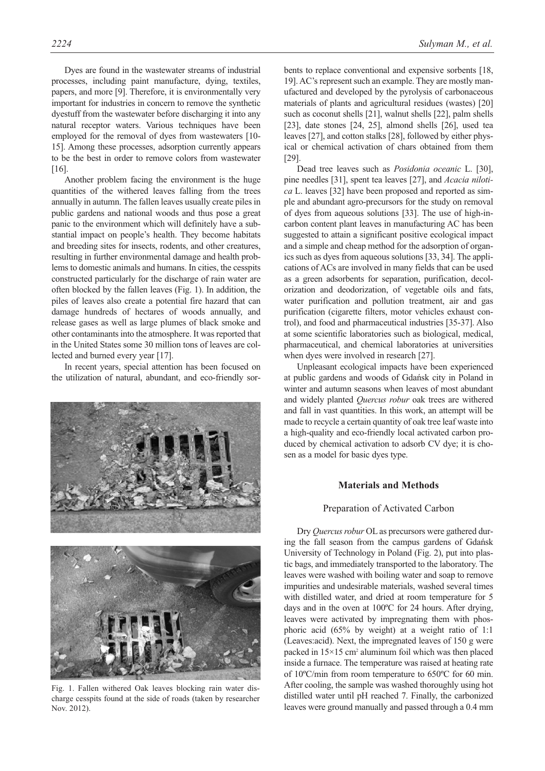Dyes are found in the wastewater streams of industrial processes, including paint manufacture, dying, textiles, papers, and more [9]. Therefore, it is environmentally very important for industries in concern to remove the synthetic dyestuff from the wastewater before discharging it into any natural receptor waters. Various techniques have been employed for the removal of dyes from wastewaters [10- 15]. Among these processes, adsorption currently appears to be the best in order to remove colors from wastewater [16].

Another problem facing the environment is the huge quantities of the withered leaves falling from the trees annually in autumn. The fallen leaves usually create piles in public gardens and national woods and thus pose a great panic to the environment which will definitely have a substantial impact on people's health. They become habitats and breeding sites for insects, rodents, and other creatures, resulting in further environmental damage and health problems to domestic animals and humans. In cities, the cesspits constructed particularly for the discharge of rain water are often blocked by the fallen leaves (Fig. 1). In addition, the piles of leaves also create a potential fire hazard that can damage hundreds of hectares of woods annually, and release gases as well as large plumes of black smoke and other contaminants into the atmosphere. It was reported that in the United States some 30 million tons of leaves are collected and burned every year [17].

In recent years, special attention has been focused on the utilization of natural, abundant, and eco-friendly sor-





Fig. 1. Fallen withered Oak leaves blocking rain water discharge cesspits found at the side of roads (taken by researcher Nov. 2012).

bents to replace conventional and expensive sorbents [18, 19]. AC's represent such an example. They are mostly manufactured and developed by the pyrolysis of carbonaceous materials of plants and agricultural residues (wastes) [20] such as coconut shells [21], walnut shells [22], palm shells [23], date stones [24, 25], almond shells [26], used tea leaves [27], and cotton stalks [28], followed by either physical or chemical activation of chars obtained from them [29].

Dead tree leaves such as *Posidonia oceanic* L. [30], pine needles [31], spent tea leaves [27], and *Acacia nilotica* L. leaves [32] have been proposed and reported as simple and abundant agro-precursors for the study on removal of dyes from aqueous solutions [33]. The use of high-incarbon content plant leaves in manufacturing AC has been suggested to attain a significant positive ecological impact and a simple and cheap method for the adsorption of organics such as dyes from aqueous solutions [33, 34]. The applications of ACs are involved in many fields that can be used as a green adsorbents for separation, purification, decolorization and deodorization, of vegetable oils and fats, water purification and pollution treatment, air and gas purification (cigarette filters, motor vehicles exhaust control), and food and pharmaceutical industries [35-37]. Also at some scientific laboratories such as biological, medical, pharmaceutical, and chemical laboratories at universities when dyes were involved in research [27].

Unpleasant ecological impacts have been experienced at public gardens and woods of Gdańsk city in Poland in winter and autumn seasons when leaves of most abundant and widely planted *Quercus robur* oak trees are withered and fall in vast quantities. In this work, an attempt will be made to recycle a certain quantity of oak tree leaf waste into a high-quality and eco-friendly local activated carbon produced by chemical activation to adsorb CV dye; it is chosen as a model for basic dyes type.

# **Materials and Methods**

## Preparation of Activated Carbon

Dry *Quercus robur* OL as precursors were gathered during the fall season from the campus gardens of Gdańsk University of Technology in Poland (Fig. 2), put into plastic bags, and immediately transported to the laboratory. The leaves were washed with boiling water and soap to remove impurities and undesirable materials, washed several times with distilled water, and dried at room temperature for 5 days and in the oven at 100ºC for 24 hours. After drying, leaves were activated by impregnating them with phosphoric acid (65% by weight) at a weight ratio of 1:1 (Leaves:acid). Next, the impregnated leaves of 150 g were packed in  $15\times15$  cm<sup>2</sup> aluminum foil which was then placed inside a furnace. The temperature was raised at heating rate of 10ºC/min from room temperature to 650ºC for 60 min. After cooling, the sample was washed thoroughly using hot distilled water until pH reached 7. Finally, the carbonized leaves were ground manually and passed through a 0.4 mm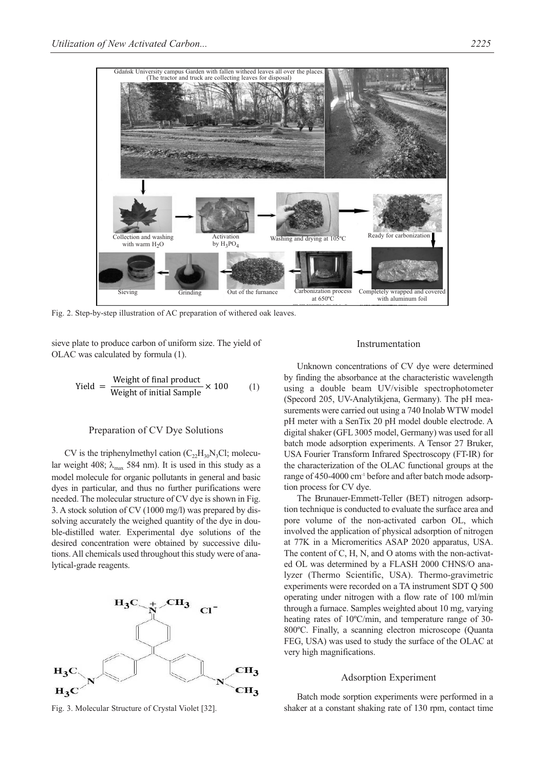

Fig. 2. Step-by-step illustration of AC preparation of withered oak leaves.

sieve plate to produce carbon of uniform size. The yield of OLAC was calculated by formula (1).

$$
Yield = \frac{Weight of final product}{Weight of initial Sample} \times 100
$$
 (1)

# Preparation of CV Dye Solutions

CV is the triphenylmethyl cation  $(C_{22}H_{30}N_3Cl;$  molecular weight 408;  $\lambda_{\text{max}}$  584 nm). It is used in this study as a model molecule for organic pollutants in general and basic dyes in particular, and thus no further purifications were needed. The molecular structure of CV dye is shown in Fig. 3. A stock solution of CV (1000 mg/l) was prepared by dissolving accurately the weighed quantity of the dye in double-distilled water. Experimental dye solutions of the desired concentration were obtained by successive dilutions. All chemicals used throughout this study were of analytical-grade reagents.



Fig. 3. Molecular Structure of Crystal Violet [32].

#### Instrumentation

Unknown concentrations of CV dye were determined by finding the absorbance at the characteristic wavelength using a double beam UV/visible spectrophotometer (Specord 205, UV-Analytikjena, Germany). The pH measurements were carried out using a 740 Inolab WTW model pH meter with a SenTix 20 pH model double electrode. A digital shaker (GFL 3005 model, Germany) was used for all batch mode adsorption experiments. A Tensor 27 Bruker, USA Fourier Transform Infrared Spectroscopy (FT-IR) for the characterization of the OLAC functional groups at the range of 450-4000 cm<sup>-1</sup> before and after batch mode adsorption process for CV dye.

The Brunauer-Emmett-Teller (BET) nitrogen adsorption technique is conducted to evaluate the surface area and pore volume of the non-activated carbon OL, which involved the application of physical adsorption of nitrogen at 77K in a Micromeritics ASAP 2020 apparatus, USA. The content of C, H, N, and O atoms with the non-activated OL was determined by a FLASH 2000 CHNS/O analyzer (Thermo Scientific, USA). Thermo-gravimetric experiments were recorded on a TA instrument SDT Q 500 operating under nitrogen with a flow rate of 100 ml/min through a furnace. Samples weighted about 10 mg, varying heating rates of 10ºC/min, and temperature range of 30- 800ºC. Finally, a scanning electron microscope (Quanta FEG, USA) was used to study the surface of the OLAC at very high magnifications.

## Adsorption Experiment

Batch mode sorption experiments were performed in a shaker at a constant shaking rate of 130 rpm, contact time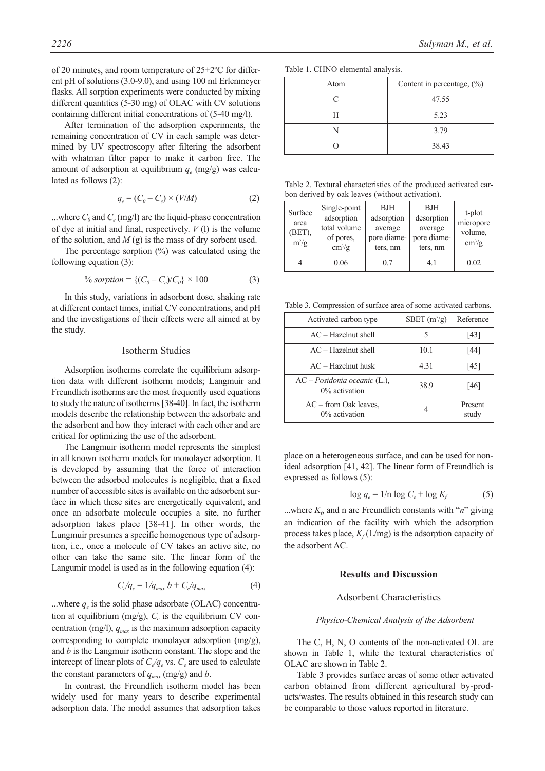of 20 minutes, and room temperature of 25±2ºC for different pH of solutions (3.0-9.0), and using 100 ml Erlenmeyer flasks. All sorption experiments were conducted by mixing different quantities (5-30 mg) of OLAC with CV solutions containing different initial concentrations of (5-40 mg/l).

After termination of the adsorption experiments, the remaining concentration of CV in each sample was determined by UV spectroscopy after filtering the adsorbent with whatman filter paper to make it carbon free. The amount of adsorption at equilibrium  $q_e$  (mg/g) was calculated as follows (2):

$$
q_e = (C_0 - C_e) \times (V/M) \tag{2}
$$

...where  $C_0$  and  $C_e$  (mg/l) are the liquid-phase concentration of dye at initial and final, respectively. *V* (l) is the volume of the solution, and  $M(g)$  is the mass of dry sorbent used.

The percentage sorption  $(\%)$  was calculated using the following equation (3):

$$
\% \text{ sorption} = \{ (C_0 - C_e) / C_0 \} \times 100 \tag{3}
$$

In this study, variations in adsorbent dose, shaking rate at different contact times, initial CV concentrations, and pH and the investigations of their effects were all aimed at by the study.

# Isotherm Studies

Adsorption isotherms correlate the equilibrium adsorption data with different isotherm models; Langmuir and Freundlich isotherms are the most frequently used equations to study the nature of isotherms [38-40]. In fact, the isotherm models describe the relationship between the adsorbate and the adsorbent and how they interact with each other and are critical for optimizing the use of the adsorbent.

The Langmuir isotherm model represents the simplest in all known isotherm models for monolayer adsorption. It is developed by assuming that the force of interaction between the adsorbed molecules is negligible, that a fixed number of accessible sites is available on the adsorbent surface in which these sites are energetically equivalent, and once an adsorbate molecule occupies a site, no further adsorption takes place [38-41]. In other words, the Lungmuir presumes a specific homogenous type of adsorption, i.e., once a molecule of CV takes an active site, no other can take the same site. The linear form of the Langumir model is used as in the following equation (4):

$$
C_{e}/q_{e} = 1/q_{max} b + C_{e}/q_{max}
$$
 (4)

...where  $q_e$  is the solid phase adsorbate (OLAC) concentration at equilibrium (mg/g),  $C_e$  is the equilibrium CV concentration (mg/l),  $q_{max}$  is the maximum adsorption capacity corresponding to complete monolayer adsorption (mg/g), and *b* is the Langmuir isotherm constant. The slope and the intercept of linear plots of  $C_{e}/q_e$  vs.  $C_e$  are used to calculate the constant parameters of  $q_{max}$  (mg/g) and *b*.

In contrast, the Freundlich isotherm model has been widely used for many years to describe experimental adsorption data. The model assumes that adsorption takes

Table 1. CHNO elemental analysis.

| Atom | Content in percentage, $(\%$ ) |  |  |
|------|--------------------------------|--|--|
|      | 47.55                          |  |  |
| Н    | 5.23                           |  |  |
|      | 3.79                           |  |  |
|      | 38.43                          |  |  |

Table 2. Textural characteristics of the produced activated carbon derived by oak leaves (without activation).

| Surface<br>area<br>(BET),<br>$m^2/g$ | Single-point<br>adsorption<br>total volume<br>of pores,<br>$\text{cm}^3/\text{g}$ | <b>BJH</b><br>adsorption<br>average<br>pore diame-<br>ters, nm | <b>BJH</b><br>desorption<br>average<br>pore diame-<br>ters, nm | t-plot<br>micropore<br>volume,<br>$\text{cm}^3/\text{g}$ |
|--------------------------------------|-----------------------------------------------------------------------------------|----------------------------------------------------------------|----------------------------------------------------------------|----------------------------------------------------------|
|                                      | 0.06                                                                              | 0.7                                                            | 4.1                                                            | 0.02                                                     |

Table 3. Compression of surface area of some activated carbons.

| Activated carbon type                               | SBET $(m^2/g)$ | Reference        |
|-----------------------------------------------------|----------------|------------------|
| $AC - Hazel$ nut shell                              | 5              | [43]             |
| $AC - Hazel$ nut shell                              | 10.1           | [44]             |
| $AC - Hazelnut husk$                                | 4.31           | [45]             |
| $AC - Positionia oceanic (L.),$<br>$0\%$ activation | 38.9           | [46]             |
| $AC$ – from Oak leaves,<br>$0\%$ activation         | 4              | Present<br>study |

place on a heterogeneous surface, and can be used for nonideal adsorption [41, 42]. The linear form of Freundlich is expressed as follows (5):

$$
\log q_e = 1/\text{n} \log C_e + \log K_f \tag{5}
$$

...where  $K_f$ , and n are Freundlich constants with "*n*" giving an indication of the facility with which the adsorption process takes place,  $K_f(L/mg)$  is the adsorption capacity of the adsorbent AC.

# **Results and Discussion**

# Adsorbent Characteristics

#### *Physico-Chemical Analysis of the Adsorbent*

The C, H, N, O contents of the non-activated OL are shown in Table 1, while the textural characteristics of OLAC are shown in Table 2.

Table 3 provides surface areas of some other activated carbon obtained from different agricultural by-products/wastes. The results obtained in this research study can be comparable to those values reported in literature.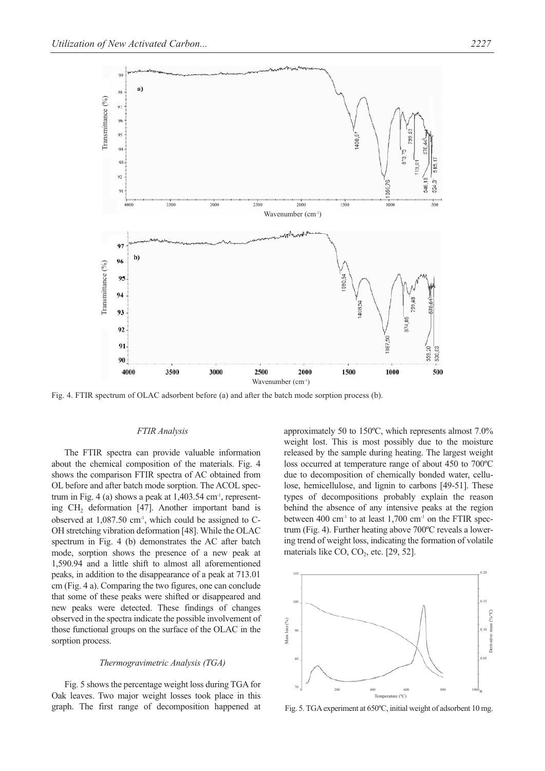

Fig. 4. FTIR spectrum of OLAC adsorbent before (a) and after the batch mode sorption process (b).

#### *FTIR Analysis*

The FTIR spectra can provide valuable information about the chemical composition of the materials. Fig. 4 shows the comparison FTIR spectra of AC obtained from OL before and after batch mode sorption. The ACOL spectrum in Fig. 4 (a) shows a peak at  $1,403.54$  cm<sup>-1</sup>, representing CH<sub>2</sub> deformation [47]. Another important band is observed at  $1.087.50$  cm<sup>-1</sup>, which could be assigned to C-OH stretching vibration deformation [48]. While the OLAC spectrum in Fig. 4 (b) demonstrates the AC after batch mode, sorption shows the presence of a new peak at 1,590.94 and a little shift to almost all aforementioned peaks, in addition to the disappearance of a peak at 713.01 cm (Fig. 4 a). Comparing the two figures, one can conclude that some of these peaks were shifted or disappeared and new peaks were detected. These findings of changes observed in the spectra indicate the possible involvement of those functional groups on the surface of the OLAC in the sorption process.

#### *Thermogravimetric Analysis (TGA)*

Fig. 5 shows the percentage weight loss during TGA for Oak leaves. Two major weight losses took place in this graph. The first range of decomposition happened at approximately 50 to 150ºC, which represents almost 7.0% weight lost. This is most possibly due to the moisture released by the sample during heating. The largest weight loss occurred at temperature range of about 450 to 700ºC due to decomposition of chemically bonded water, cellulose, hemicellulose, and lignin to carbons [49-51]. These types of decompositions probably explain the reason behind the absence of any intensive peaks at the region between 400 cm<sup>-1</sup> to at least 1,700 cm<sup>-1</sup> on the FTIR spectrum (Fig. 4). Further heating above 700ºC reveals a lowering trend of weight loss, indicating the formation of volatile materials like  $CO$ ,  $CO<sub>2</sub>$ , etc. [29, 52].



Fig. 5. TGA experiment at 650ºC, initial weight of adsorbent 10 mg.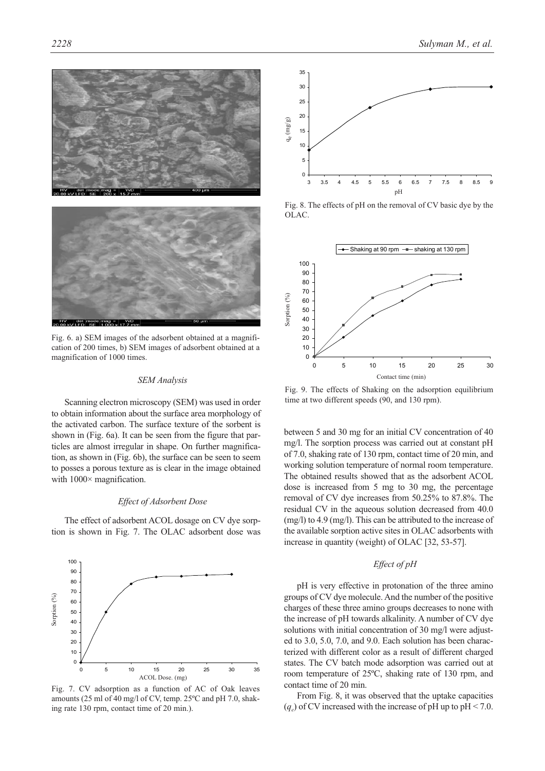



Fig. 6. a) SEM images of the adsorbent obtained at a magnification of 200 times, b) SEM images of adsorbent obtained at a magnification of 1000 times.

## *SEM Analysis*

Scanning electron microscopy (SEM) was used in order to obtain information about the surface area morphology of the activated carbon. The surface texture of the sorbent is shown in (Fig. 6a). It can be seen from the figure that particles are almost irregular in shape. On further magnification, as shown in (Fig. 6b), the surface can be seen to seem to posses a porous texture as is clear in the image obtained with  $1000 \times$  magnification.

## *Effect of Adsorbent Dose*

The effect of adsorbent ACOL dosage on CV dye sorption is shown in Fig. 7. The OLAC adsorbent dose was



Fig. 7. CV adsorption as a function of AC of Oak leaves amounts (25 ml of 40 mg/l of CV, temp. 25ºC and pH 7.0, shaking rate 130 rpm, contact time of 20 min.).



Fig. 8. The effects of pH on the removal of CV basic dye by the **OLAC** 



Fig. 9. The effects of Shaking on the adsorption equilibrium time at two different speeds (90, and 130 rpm).

between 5 and 30 mg for an initial CV concentration of 40 mg/l. The sorption process was carried out at constant pH of 7.0, shaking rate of 130 rpm, contact time of 20 min, and working solution temperature of normal room temperature. The obtained results showed that as the adsorbent ACOL dose is increased from 5 mg to 30 mg, the percentage removal of CV dye increases from 50.25% to 87.8%. The residual CV in the aqueous solution decreased from 40.0 (mg/l) to 4.9 (mg/l). This can be attributed to the increase of the available sorption active sites in OLAC adsorbents with increase in quantity (weight) of OLAC [32, 53-57].

# *Effect of pH*

pH is very effective in protonation of the three amino groups of CV dye molecule. And the number of the positive charges of these three amino groups decreases to none with the increase of pH towards alkalinity. A number of CV dye solutions with initial concentration of 30 mg/l were adjusted to 3.0, 5.0, 7.0, and 9.0. Each solution has been characterized with different color as a result of different charged states. The CV batch mode adsorption was carried out at room temperature of 25ºC, shaking rate of 130 rpm, and contact time of 20 min.

From Fig. 8, it was observed that the uptake capacities  $(q_e)$  of CV increased with the increase of pH up to pH < 7.0.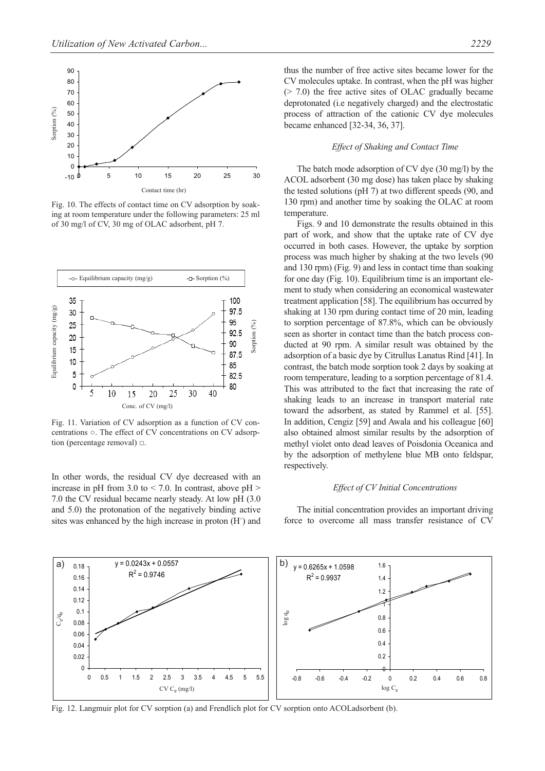

Fig. 10. The effects of contact time on CV adsorption by soaking at room temperature under the following parameters: 25 ml of 30 mg/l of CV, 30 mg of OLAC adsorbent, pH 7.



Fig. 11. Variation of CV adsorption as a function of CV concentrations ○. The effect of CV concentrations on CV adsorption (percentage removal)  $\Box$ .

In other words, the residual CV dye decreased with an increase in pH from 3.0 to  $\leq$  7.0. In contrast, above pH  $>$ 7.0 the CV residual became nearly steady. At low pH (3.0 and 5.0) the protonation of the negatively binding active sites was enhanced by the high increase in proton  $(H<sup>+</sup>)$  and

thus the number of free active sites became lower for the CV molecules uptake. In contrast, when the pH was higher (> 7.0) the free active sites of OLAC gradually became deprotonated (i.e negatively charged) and the electrostatic process of attraction of the cationic CV dye molecules became enhanced [32-34, 36, 37].

## *Effect of Shaking and Contact Time*

The batch mode adsorption of CV dye (30 mg/l) by the ACOL adsorbent (30 mg dose) has taken place by shaking the tested solutions (pH 7) at two different speeds (90, and 130 rpm) and another time by soaking the OLAC at room temperature.

Figs. 9 and 10 demonstrate the results obtained in this part of work, and show that the uptake rate of CV dye occurred in both cases. However, the uptake by sorption process was much higher by shaking at the two levels (90 and 130 rpm) (Fig. 9) and less in contact time than soaking for one day (Fig. 10). Equilibrium time is an important element to study when considering an economical wastewater treatment application [58]. The equilibrium has occurred by shaking at 130 rpm during contact time of 20 min, leading to sorption percentage of 87.8%, which can be obviously seen as shorter in contact time than the batch process conducted at 90 rpm. A similar result was obtained by the adsorption of a basic dye by Citrullus Lanatus Rind [41]. In contrast, the batch mode sorption took 2 days by soaking at room temperature, leading to a sorption percentage of 81.4. This was attributed to the fact that increasing the rate of shaking leads to an increase in transport material rate toward the adsorbent, as stated by Rammel et al. [55]. In addition, Cengiz [59] and Awala and his colleague [60] also obtained almost similar results by the adsorption of methyl violet onto dead leaves of Poisdonia Oceanica and by the adsorption of methylene blue MB onto feldspar, respectively.

## *Effect of CV Initial Concentrations*

The initial concentration provides an important driving force to overcome all mass transfer resistance of CV



Fig. 12. Langmuir plot for CV sorption (a) and Frendlich plot for CV sorption onto ACOLadsorbent (b).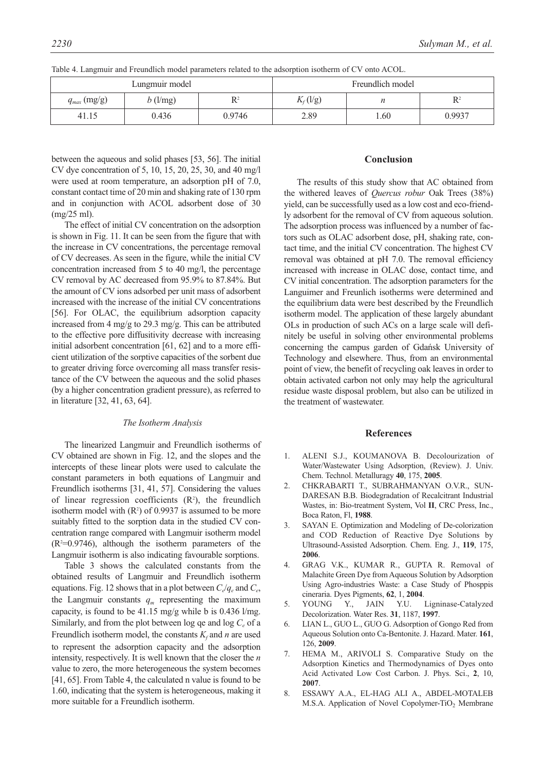| Lungmuir model   |            | Freundlich model |             |      |        |
|------------------|------------|------------------|-------------|------|--------|
| $q_{max}$ (mg/g) | $b$ (l/mg) | D2               | $K_f$ (l/g) |      |        |
| 41.15            | 0.436      | 0.9746           | 2.89        | 1.60 | 0.9937 |

Table 4. Langmuir and Freundlich model parameters related to the adsorption isotherm of CV onto ACOL.

between the aqueous and solid phases [53, 56]. The initial CV dye concentration of 5, 10, 15, 20, 25, 30, and 40 mg/l were used at room temperature, an adsorption pH of 7.0, constant contact time of 20 min and shaking rate of 130 rpm and in conjunction with ACOL adsorbent dose of 30 (mg/25 ml).

The effect of initial CV concentration on the adsorption is shown in Fig. 11. It can be seen from the figure that with the increase in CV concentrations, the percentage removal of CV decreases. As seen in the figure, while the initial CV concentration increased from 5 to 40 mg/l, the percentage CV removal by AC decreased from 95.9% to 87.84%. But the amount of CV ions adsorbed per unit mass of adsorbent increased with the increase of the initial CV concentrations [56]. For OLAC, the equilibrium adsorption capacity increased from 4 mg/g to 29.3 mg/g. This can be attributed to the effective pore diffusitivity decrease with increasing initial adsorbent concentration [61, 62] and to a more efficient utilization of the sorptive capacities of the sorbent due to greater driving force overcoming all mass transfer resistance of the CV between the aqueous and the solid phases (by a higher concentration gradient pressure), as referred to in literature [32, 41, 63, 64].

## *The Isotherm Analysis*

The linearized Langmuir and Freundlich isotherms of CV obtained are shown in Fig. 12, and the slopes and the intercepts of these linear plots were used to calculate the constant parameters in both equations of Langmuir and Freundlich isotherms [31, 41, 57]. Considering the values of linear regression coefficients  $(R^2)$ , the freundlich isotherm model with  $(R^2)$  of 0.9937 is assumed to be more suitably fitted to the sorption data in the studied CV concentration range compared with Langmuir isotherm model  $(R<sup>2</sup>=0.9746)$ , although the isotherm parameters of the Langmuir isotherm is also indicating favourable sorptions.

Table 3 shows the calculated constants from the obtained results of Langmuir and Freundlich isotherm equations. Fig. 12 shows that in a plot between  $C/q_e$  and  $C_e$ , the Langmuir constants  $q_m$  representing the maximum capacity, is found to be 41.15 mg/g while b is 0.436 l/mg. Similarly, and from the plot between log qe and log  $C_e$  of a Freundlich isotherm model, the constants  $K_f$  and  $n$  are used to represent the adsorption capacity and the adsorption intensity, respectively. It is well known that the closer the *n* value to zero, the more heterogeneous the system becomes [41, 65]. From Table 4, the calculated n value is found to be 1.60, indicating that the system is heterogeneous, making it more suitable for a Freundlich isotherm.

# **Conclusion**

The results of this study show that AC obtained from the withered leaves of *Quercus robur* Oak Trees (38%) yield, can be successfully used as a low cost and eco-friendly adsorbent for the removal of CV from aqueous solution. The adsorption process was influenced by a number of factors such as OLAC adsorbent dose, pH, shaking rate, contact time, and the initial CV concentration. The highest CV removal was obtained at pH 7.0. The removal efficiency increased with increase in OLAC dose, contact time, and CV initial concentration. The adsorption parameters for the Languimer and Freunlich isotherms were determined and the equilibrium data were best described by the Freundlich isotherm model. The application of these largely abundant OLs in production of such ACs on a large scale will definitely be useful in solving other environmental problems concerning the campus garden of Gdańsk University of Technology and elsewhere. Thus, from an environmental point of view, the benefit of recycling oak leaves in order to obtain activated carbon not only may help the agricultural residue waste disposal problem, but also can be utilized in the treatment of wastewater.

## **References**

- 1. ALENI S.J., KOUMANOVA B. Decolourization of Water/Wastewater Using Adsorption, (Review). J. Univ. Chem. Technol. Metalluragy **40**, 175, **2005**.
- 2. CHKRABARTI T., SUBRAHMANYAN O.V.R., SUN-DARESAN B.B. Biodegradation of Recalcitrant Industrial Wastes, in: Bio-treatment System, Vol **II**, CRC Press, Inc., Boca Raton, Fl, **1988**.
- 3. SAYAN E. Optimization and Modeling of De-colorization and COD Reduction of Reactive Dye Solutions by Ultrasound-Assisted Adsorption. Chem. Eng. J., **119**, 175, **2006**.
- 4. GRAG V.K., KUMAR R., GUPTA R. Removal of Malachite Green Dye from Aqueous Solution by Adsorption Using Agro-industries Waste: a Case Study of Phosppis cineraria. Dyes Pigments, **62**, 1, **2004**.
- 5. YOUNG Y., JAIN Y.U. Ligninase-Catalyzed Decolorization. Water Res. **31**, 1187, **1997**.
- 6. LIAN L., GUO L., GUO G. Adsorption of Gongo Red from Aqueous Solution onto Ca-Bentonite. J. Hazard. Mater. **161**, 126, **2009**.
- 7. HEMA M., ARIVOLI S. Comparative Study on the Adsorption Kinetics and Thermodynamics of Dyes onto Acid Activated Low Cost Carbon. J. Phys. Sci., **2**, 10, **2007**.
- 8. ESSAWY A.A., EL-HAG ALI A., ABDEL-MOTALEB M.S.A. Application of Novel Copolymer-TiO<sub>2</sub> Membrane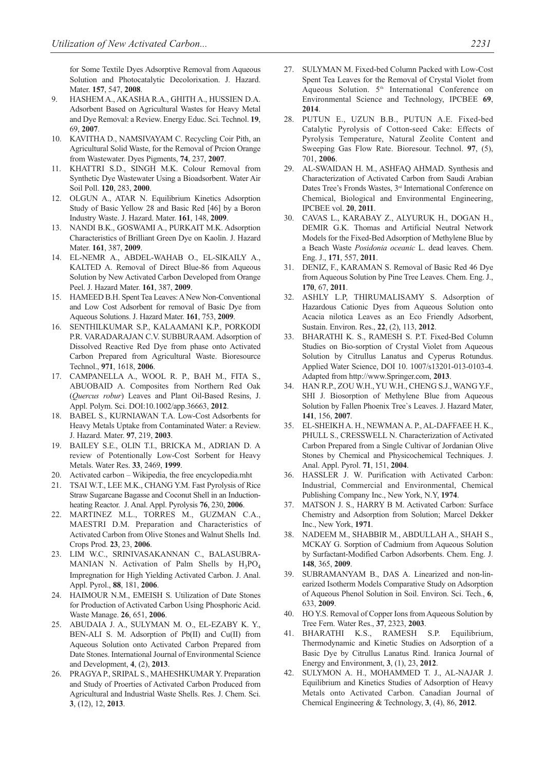for Some Textile Dyes Adsorptive Removal from Aqueous Solution and Photocatalytic Decolorixation. J. Hazard. Mater. **157**, 547, **2008**.

- 9. HASHEM A., AKASHA R.A., GHITH A., HUSSIEN D.A. Adsorbent Based on Agricultural Wastes for Heavy Metal and Dye Removal: a Review. Energy Educ. Sci. Technol. **19**, 69, **2007**.
- 10. KAVITHA D., NAMSIVAYAM C. Recycling Coir Pith, an Agricultural Solid Waste, for the Removal of Prcion Orange from Wastewater. Dyes Pigments, **74**, 237, **2007**.
- 11. KHATTRI S.D., SINGH M.K. Colour Removal from Synthetic Dye Wastewater Using a Bioadsorbent. Water Air Soil Poll. **120**, 283, **2000**.
- 12. OLGUN A., ATAR N. Equilibrium Kinetics Adsorption Study of Basic Yellow 28 and Basic Red [46] by a Boron Industry Waste. J. Hazard. Mater. **161**, 148, **2009**.
- 13. NANDI B.K., GOSWAMI A., PURKAIT M.K. Adsorption Characteristics of Brilliant Green Dye on Kaolin. J. Hazard Mater. **161**, 387, **2009**.
- 14. EL-NEMR A., ABDEL-WAHAB O., EL-SIKAILY A., KALTED A. Removal of Direct Blue-86 from Aqueous Solution by New Activated Carbon Developed from Orange Peel. J. Hazard Mater. **161**, 387, **2009**.
- 15. HAMEED B.H. Spent Tea Leaves: A New Non-Conventional and Low Cost Adsorbent for removal of Basic Dye from Aqueous Solutions. J. Hazard Mater. **161**, 753, **2009**.
- 16. SENTHILKUMAR S.P., KALAAMANI K.P., PORKODI P.R. VARADARAJAN C.V. SUBBURAAM. Adsorption of Dissolved Reactive Red Dye from phase onto Activated Carbon Prepared from Agricultural Waste. Bioresource Technol., **971**, 1618, **2006**.
- 17. CAMPANELLA A., WOOL R. P., BAH M., FITA S., ABUOBAID A. Composites from Northern Red Oak (*Quercus robur*) Leaves and Plant Oil-Based Resins, J. Appl. Polym. Sci. DOI:10.1002/app.36663, **2012**.
- 18. BABEL S., KURNIAWAN T.A. Low-Cost Adsorbents for Heavy Metals Uptake from Contaminated Water: a Review. J. Hazard. Mater. **97**, 219, **2003**.
- 19. BAILEY S.E., OLIN T.I., BRICKA M., ADRIAN D. A review of Potentionally Low-Cost Sorbent for Heavy Metals. Water Res. **33**, 2469, **1999**.
- 20. Activated carbon Wikipedia, the free encyclopedia.mht
- 21. TSAI W.T., LEE M.K., CHANG Y.M. Fast Pyrolysis of Rice Straw Sugarcane Bagasse and Coconut Shell in an Inductionheating Reactor. J. Anal. Appl. Pyrolysis **76**, 230, **2006**.
- 22. MARTINEZ M.L., TORRES M., GUZMAN C.A., MAESTRI D.M. Preparation and Characteristics of Activated Carbon from Olive Stones and Walnut Shells Ind. Crops Prod. **23**, 23, **2006**.
- 23. LIM W.C., SRINIVASAKANNAN C., BALASUBRA-MANIAN N. Activation of Palm Shells by  $H_3PO_4$ Impregnation for High Yielding Activated Carbon. J. Anal. Appl. Pyrol., **88**, 181, **2006**.
- 24. HAIMOUR N.M., EMEISH S. Utilization of Date Stones for Production of Activated Carbon Using Phosphoric Acid. Waste Manage. **26**, 651, **2006**.
- 25. ABUDAIA J. A., SULYMAN M. O., EL-EZABY K. Y., BEN-ALI S. M. Adsorption of Pb(II) and Cu(II) from Aqueous Solution onto Activated Carbon Prepared from Date Stones. International Journal of Environmental Science and Development, **4**, (2), **2013**.
- 26. PRAGYA P., SRIPAL S., MAHESHKUMAR Y. Preparation and Study of Proerties of Activated Carbon Produced from Agricultural and Industrial Waste Shells. Res. J. Chem. Sci. **3**, (12), 12, **2013**.
- 27. SULYMAN M. Fixed-bed Column Packed with Low-Cost Spent Tea Leaves for the Removal of Crystal Violet from Aqueous Solution.  $5<sup>th</sup>$  International Conference on Environmental Science and Technology, IPCBEE **69**, **2014**.
- 28. PUTUN E., UZUN B.B., PUTUN A.E. Fixed-bed Catalytic Pyrolysis of Cotton-seed Cake: Effects of Pyrolysis Temperature, Natural Zeolite Content and Sweeping Gas Flow Rate. Bioresour. Technol. **97**, (5), 701, **2006**.
- 29. AL-SWAIDAN H. M., ASHFAQ AHMAD. Synthesis and Characterization of Activated Carbon from Saudi Arabian Dates Tree's Fronds Wastes, 3<sup>rd</sup> International Conference on Chemical, Biological and Environmental Engineering, IPCBEE vol. **20**, **2011**.
- 30. CAVAS L., KARABAY Z., ALYURUK H., DOGAN H., DEMIR G.K. Thomas and Artificial Neutral Network Models for the Fixed-Bed Adsorption of Methylene Blue by a Beach Waste *Posidonia oceanic* L. dead leaves. Chem. Eng. J., **171**, 557, **2011**.
- 31. DENIZ, F., KARAMAN S. Removal of Basic Red 46 Dye from Aqueous Solution by Pine Tree Leaves. Chem. Eng. J., **170**, 67, **2011**.
- 32. ASHLY L.P, THIRUMALISAMY S. Adsorption of Hazardous Cationic Dyes from Aqueous Solution onto Acacia nilotica Leaves as an Eco Friendly Adsorbent, Sustain. Environ. Res., **22**, (2), 113, **2012**.
- 33. BHARATHI K. S., RAMESH S. P.T. Fixed-Bed Column Studies on Bio-sorption of Crystal Violet from Aqueous Solution by Citrullus Lanatus and Cyperus Rotundus. Applied Water Science, DOI 10. 1007/s13201-013-0103-4. Adapted from http://www.Springer.com, **2013**.
- 34. HAN R.P., ZOU W.H., YU W.H., CHENG S.J., WANG Y.F., SHI J. Biosorption of Methylene Blue from Aqueous Solution by Fallen Phoenix Tree`s Leaves. J. Hazard Mater, **141**, 156, **2007**.
- 35. EL-SHEIKH A. H., NEWMAN A. P., AL-DAFFAEE H. K., PHULL S., CRESSWELL N. Characterization of Activated Carbon Prepared from a Single Cultivar of Jordanian Olive Stones by Chemical and Physicochemical Techniques. J. Anal. Appl. Pyrol. **71**, 151, **2004**.
- 36. HASSLER J. W. Purification with Activated Carbon: Industrial, Commercial and Environmental, Chemical Publishing Company Inc., New York, N.Y, **1974**.
- 37. MATSON J. S., HARRY B M. Activated Carbon: Surface Chemistry and Adsorption from Solution; Marcel Dekker Inc., New York, **1971**.
- 38. NADEEM M., SHABBIR M., ABDULLAH A., SHAH S., MCKAY G. Sorption of Cadmium from Aqueous Solution by Surfactant-Modified Carbon Adsorbents. Chem. Eng. J. **148**, 365, **2009**.
- 39. SUBRAMANYAM B., DAS A. Linearized and non-linearized Isotherm Models Comparative Study on Adsorption of Aqueous Phenol Solution in Soil. Environ. Sci. Tech., **6**, 633, **2009**.
- 40. HO Y.S. Removal of Copper Ions from Aqueous Solution by Tree Fern. Water Res., **37**, 2323, **2003**.
- 41. BHARATHI K.S., RAMESH S.P. Equilibrium, Thermodynamic and Kinetic Studies on Adsorption of a Basic Dye by Citrullus Lanatus Rind. Iranica Journal of Energy and Environment, **3**, (1), 23, **2012**.
- SULYMON A. H., MOHAMMED T. J., AL-NAJAR J. Equilibrium and Kinetics Studies of Adsorption of Heavy Metals onto Activated Carbon. Canadian Journal of Chemical Engineering & Technology, **3**, (4), 86, **2012**.